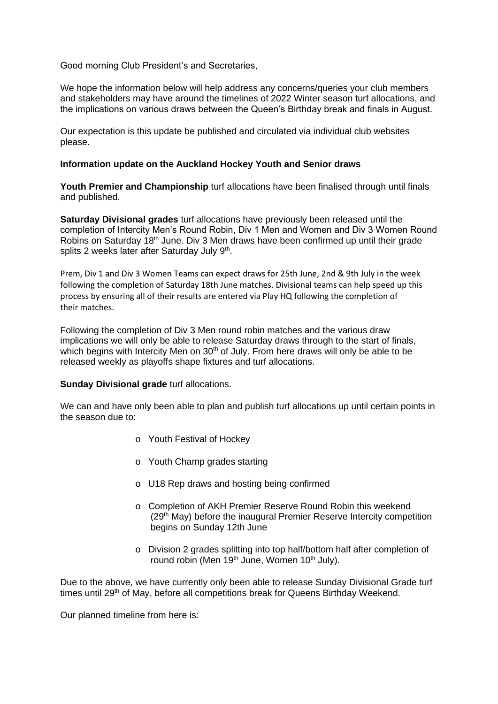Good morning Club President's and Secretaries,

We hope the information below will help address any concerns/queries your club members and stakeholders may have around the timelines of 2022 Winter season turf allocations, and the implications on various draws between the Queen's Birthday break and finals in August.

Our expectation is this update be published and circulated via individual club websites please.

## **Information update on the Auckland Hockey Youth and Senior draws**

**Youth Premier and Championship** turf allocations have been finalised through until finals and published.

**Saturday Divisional grades** turf allocations have previously been released until the completion of Intercity Men's Round Robin, Div 1 Men and Women and Div 3 Women Round Robins on Saturday 18<sup>th</sup> June. Div 3 Men draws have been confirmed up until their grade splits 2 weeks later after Saturday July 9<sup>th</sup>.

Prem, Div 1 and Div 3 Women Teams can expect draws for 25th June, 2nd & 9th July in the week following the completion of Saturday 18th June matches. Divisional teams can help speed up this process by ensuring all of their results are entered via Play HQ following the completion of their matches.

Following the completion of Div 3 Men round robin matches and the various draw implications we will only be able to release Saturday draws through to the start of finals, which begins with Intercity Men on  $30<sup>th</sup>$  of July. From here draws will only be able to be released weekly as playoffs shape fixtures and turf allocations.

## **Sunday Divisional grade** turf allocations.

We can and have only been able to plan and publish turf allocations up until certain points in the season due to:

- o Youth Festival of Hockey
- o Youth Champ grades starting
- o U18 Rep draws and hosting being confirmed
- o Completion of AKH Premier Reserve Round Robin this weekend (29<sup>th</sup> May) before the inaugural Premier Reserve Intercity competition begins on Sunday 12th June
- o Division 2 grades splitting into top half/bottom half after completion of round robin (Men 19<sup>th</sup> June, Women 10<sup>th</sup> July).

Due to the above, we have currently only been able to release Sunday Divisional Grade turf times until 29<sup>th</sup> of May, before all competitions break for Queens Birthday Weekend.

Our planned timeline from here is: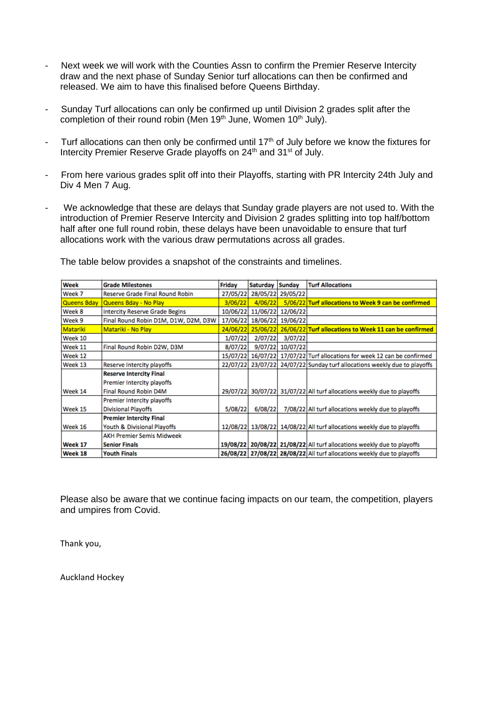- Next week we will work with the Counties Assn to confirm the Premier Reserve Intercity draw and the next phase of Sunday Senior turf allocations can then be confirmed and released. We aim to have this finalised before Queens Birthday.
- Sunday Turf allocations can only be confirmed up until Division 2 grades split after the completion of their round robin (Men 19<sup>th</sup> June, Women 10<sup>th</sup> July).
- Turf allocations can then only be confirmed until 17<sup>th</sup> of July before we know the fixtures for Intercity Premier Reserve Grade playoffs on 24<sup>th</sup> and 31<sup>st</sup> of July.
- From here various grades split off into their Playoffs, starting with PR Intercity 24th July and Div 4 Men 7 Aug.
- We acknowledge that these are delays that Sunday grade players are not used to. With the introduction of Premier Reserve Intercity and Division 2 grades splitting into top half/bottom half after one full round robin, these delays have been unavoidable to ensure that turf allocations work with the various draw permutations across all grades.

| Week            | <b>Grade Milestones</b>               | Friday   | Saturday | Sunday            | <b>Turf Allocations</b>                                                |
|-----------------|---------------------------------------|----------|----------|-------------------|------------------------------------------------------------------------|
| Week 7          | Reserve Grade Final Round Robin       | 27/05/22 |          | 28/05/22 29/05/22 |                                                                        |
| Queens Bday     | Queens Bday - No Play                 | 3/06/22  | 4/06/22  |                   | 5/06/22 Turf allocations to Week 9 can be confirmed                    |
| Week 8          | <b>Intercity Reserve Grade Begins</b> | 10/06/22 | 11/06/22 | 12/06/22          |                                                                        |
| Week 9          | Final Round Robin D1M, D1W, D2M, D3W  | 17/06/22 |          | 18/06/22 19/06/22 |                                                                        |
| <b>Matariki</b> | Matariki - No Play                    | 24/06/22 |          |                   | 25/06/22 26/06/22 Turf allocations to Week 11 can be confirmed         |
| Week 10         |                                       | 1/07/22  | 2/07/22  | 3/07/22           |                                                                        |
| Week 11         | Final Round Robin D2W, D3M            | 8/07/22  |          | 9/07/22 10/07/22  |                                                                        |
| Week 12         |                                       | 15/07/22 |          |                   | 16/07/22 17/07/22 Turf allocations for week 12 can be confirmed        |
| Week 13         | Reserve Intercity playoffs            | 22/07/22 |          |                   | 23/07/22 24/07/22 Sunday turf allocations weekly due to playoffs       |
|                 | <b>Reserve Intercity Final</b>        |          |          |                   |                                                                        |
|                 | Premier Intercity playoffs            |          |          |                   |                                                                        |
| Week 14         | Final Round Robin D4M                 | 29/07/22 |          |                   | 30/07/22 31/07/22 All turf allocations weekly due to playoffs          |
|                 | Premier Intercity playoffs            |          |          |                   |                                                                        |
| Week 15         | <b>Divisional Playoffs</b>            | 5/08/22  | 6/08/22  |                   | 7/08/22 All turf allocations weekly due to playoffs                    |
|                 | <b>Premier Intercity Final</b>        |          |          |                   |                                                                        |
| Week 16         | Youth & Divisional Playoffs           | 12/08/22 |          |                   | 13/08/22 14/08/22 All turf allocations weekly due to playoffs          |
|                 | <b>AKH Premier Semis Midweek</b>      |          |          |                   |                                                                        |
| Week 17         | <b>Senior Finals</b>                  |          |          |                   | 19/08/22 20/08/22 21/08/22 All turf allocations weekly due to playoffs |
| Week 18         | <b>Youth Finals</b>                   |          |          |                   | 26/08/22 27/08/22 28/08/22 All turf allocations weekly due to playoffs |

The table below provides a snapshot of the constraints and timelines.

Please also be aware that we continue facing impacts on our team, the competition, players and umpires from Covid.

Thank you,

Auckland Hockey